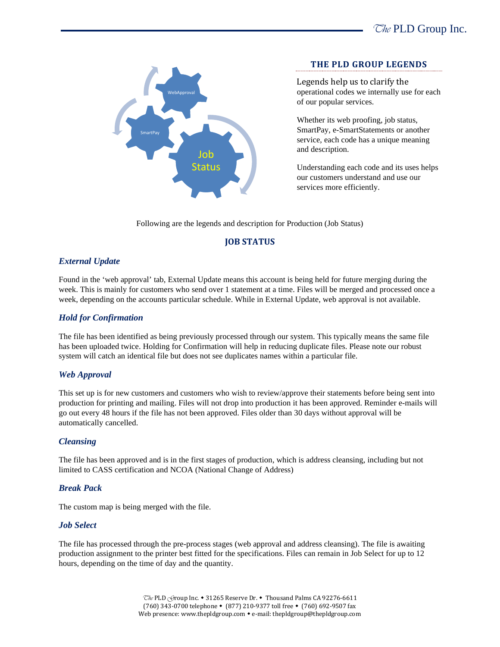

### **THE PLD GROUP LEGENDS**

Legends help us to clarify the operational codes we internally use for each of our popular services.

Whether its web proofing, job status, SmartPay, e-SmartStatements or another service, each code has a unique meaning and description.

Understanding each code and its uses helps our customers understand and use our services more efficiently.

Following are the legends and description for Production (Job Status)

# **JOB STATUS**

# *External Update*

Found in the 'web approval' tab, External Update means this account is being held for future merging during the week. This is mainly for customers who send over 1 statement at a time. Files will be merged and processed once a week, depending on the accounts particular schedule. While in External Update, web approval is not available.

## *Hold for Confirmation*

The file has been identified as being previously processed through our system. This typically means the same file has been uploaded twice. Holding for Confirmation will help in reducing duplicate files. Please note our robust system will catch an identical file but does not see duplicates names within a particular file.

### *Web Approval*

This set up is for new customers and customers who wish to review/approve their statements before being sent into production for printing and mailing. Files will not drop into production it has been approved. Reminder e-mails will go out every 48 hours if the file has not been approved. Files older than 30 days without approval will be automatically cancelled.

# *Cleansing*

The file has been approved and is in the first stages of production, which is address cleansing, including but not limited to CASS certification and NCOA (National Change of Address)

### *Break Pack*

The custom map is being merged with the file.

# *Job Select*

The file has processed through the pre-process stages (web approval and address cleansing). The file is awaiting production assignment to the printer best fitted for the specifications. Files can remain in Job Select for up to 12 hours, depending on the time of day and the quantity.